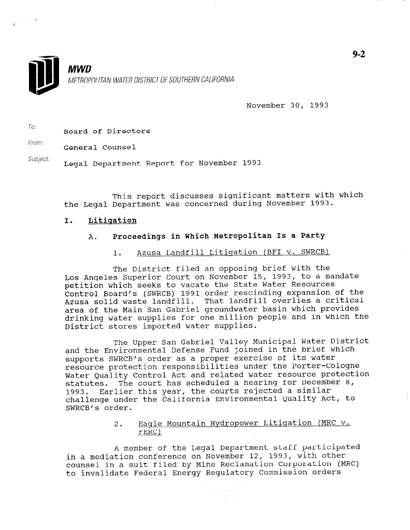

**MWD** METROPOLITAN WATER DISTRICT OF SOUTHERN CALIFORNIA

November 30, 1993

To: Board of Directors

From: General Counsel

Subject: Legal Department Report for November 1993

This report discusses significant matters with which the Legal Department was concerned during November 1993.

### I. Litiqation

## A. Proceedings in Which Metropolitan Is a Party

1. Azusa Landfill Litiqation (BFI v. SWRCB)

The District filed an opposing brief with the Los Angeles Superior Court on November 15, 1993, to a mandate petition which seeks to vacate the State Water Resources Control Board's (SWRCB) 1991 order rescinding expansion of the Concroi Doura B (BAXCD) 1991 order recenting the material area of the Main San Gabriel groundwater basin which provides drinking water supplies for one million people and in which the District stores imported water supplies.

The Upper San Gabriel Valley Municipal Water District and the Environmental Defense Fund joined in the brief which supports SWRCB's order as a proper exercise of its water resource protection responsibilities under the Porter-Cologne Water Quality Control Act and related water resource protection statutes. The court has scheduled a hearing for December 8, 1993. Earlier this year, the courts rejected a similar challenge under the California Environmental Quality Act, to SWRCB's order.

# 2. Eaqle Mountain Hydropower Litiqation (MRC v. nayıt<br>Perci

A member of the Legal Department staff participated in a mediation conference on November 12, 1993, with other counsel in a suit filed by Mine Reclamation Corporation (MRC) to invalidate Federal Energy Regulatory Commission orders

 $\label{eq:2} \frac{1}{\sqrt{2}}\left(\frac{1}{\sqrt{2}}\right)^{2} \left(\frac{1}{\sqrt{2}}\right)^{2} \left(\frac{1}{\sqrt{2}}\right)^{2} \left(\frac{1}{\sqrt{2}}\right)^{2} \left(\frac{1}{\sqrt{2}}\right)^{2} \left(\frac{1}{\sqrt{2}}\right)^{2} \left(\frac{1}{\sqrt{2}}\right)^{2} \left(\frac{1}{\sqrt{2}}\right)^{2} \left(\frac{1}{\sqrt{2}}\right)^{2} \left(\frac{1}{\sqrt{2}}\right)^{2} \left(\frac{1}{\sqrt{2}}\right)^{2} \left(\frac{$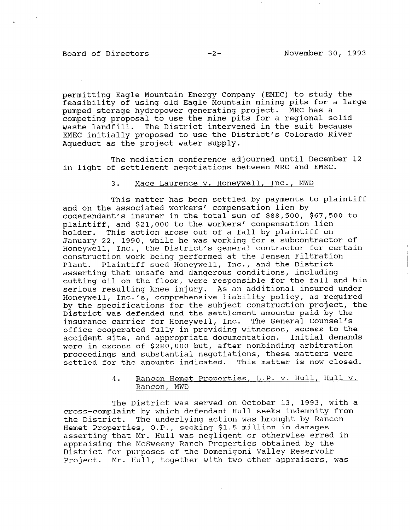### Board of Directors -2- November 30, 1993

 $\sim 10^{-7}$ 

permitting Eagle Mountain Energy Company (EMEC) to study the feasibility of using old Eagle Mountain mining pits for a large pumped storage hydropower generating project. MRC has a competing proposal to use the mine pits for a regional solid waste landfill. The District intervened in the suit because EMEC initially proposed to use the District's Colorado River Aqueduct as the project water supply.

The mediation conference adjourned until December 12 in light of settlement negotiations between MRC and EMEC.

### 3. Mace Laurence v. Honeywell, Inc., MWD

This matter has been settled by payments to plaintiff and on the associated workers' compensation lien by codefendant's insurer in the total sum of \$88,500, \$67,500 to plaintiff, and \$21,000 to the workers' compensation lien holder. This action arose out of a fall by plaintiff on January 22, 1990, while he was working for a subcontractor of Honeywell, Inc., the District's general contractor for certain construction work being performed at the Jensen Filtration Plant. Plaintiff sued Honeywell, Inc., and the District asserting that unsafe and dangerous conditions, including cutting oil on the floor, were responsible for the fall and his serious resulting knee injury. As an additional insured under Honeywell, Inc./s, comprehensive liability policy, as required by the specifications for the subject construction project, the District was defended and the settlement amounts paid by the insurance carrier for Honeywell, Inc. The General Counsel's office cooperated fully in providing witnesses, access to the accident site, and appropriate documentation. Initial demands were in excess of \$280,000 but, after nonbinding arbitration proceedings and substantial negotiations, these matters were settled for the amounts indicated. This matter is now closed.

# 4. Rancon Hemet Properties, L.P. v. Hull, Hull v. Rancon, Remea<br>Depense MWD

The District was served on October 13, 1993, with a cross-complaint by which defendant Hull seeks indemnity from the District. The underlying action was brought by Rancon Hemet Properties, O.P., seeking \$1.5 million in damages asserting that Mr. Hull was negligent or otherwise erred in apperting that McSween Ranch Properties of the McSweet the appraising the McSweeny Ranch Properties obtained by the<br>District for purposes of the Domenigoni Valley Reservoir Project. Mr. Hull, together with two other appraisers, was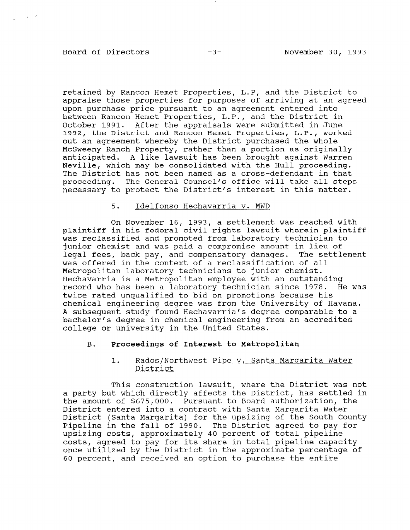### Board of Directors -3- November 30, 1993

 $\mathcal{L}_{\mathbf{q}} = \mathcal{L}$ 

retained by Rancon Hemet Properties, L-P, and the District to appraise those properties for purposes of arriving at an agreed upon purchase price pursuant to an agreement entered into between Rancon Hemet Properties, L.P., and the District in October 1991. After the appraisals were submitted in June 1992, the District and Rancon Hemet Properties, L.P., worked out an agreement whereby the District purchased the whole McSweeny Ranch Property, rather than a portion as originally anticipated. A like lawsuit has been brought against Warren Neville, which may be consolidated with the Hull proceeding. The District has not been named as a cross-defendant in that proceeding. The General Counsel's office will take all steps necessary to protect the District's interest in this matter.

### 5. Idelfonso Hechavarria v. MWD

On November 16, 1993, a settlement was reached with plaintiff in his federal civil rights lawsuit wherein plaintiff was reclassified and promoted from laboratory technician to junior chemist and was paid a compromise amount in lieu of legal fees, back pay, and compensatory damages. The settlement was offered in the context of a reclassification of all Metropolitan laboratory technicians to junior chemist. Hechavarria is a Metropolitan employee with an outstanding record who has been a laboratory technician since 1978. He was twice rated unqualified to bid on promotions because his chemical engineering degree was from the University of Havana. A subsequent study found Hechavarria's degree comparable to a bachelor's degree in chemical engineering from an accredited college or university in the United States.

### B. Proceedings of Interest to Metropolitan

### 1. Rados/Northwest Pipe v. Santa Margarita Water District

This construction lawsuit, where the District was not a party but which directly affects the District, has settled in the amount of \$675,000. Pursuant to Board authorization, the  $\sum_{i=1}^{n}$  contract with  $\sum_{i=1}^{n}$  contract with Santa Margarita Water Water District (Santa Margarita) for the upsizing of the South County District (Santa Margarita) for the upsizing of the South County Pipeline in the fall of 1990. The District agreed to pay for upsizing costs, approximately 40 percent of total pipeline costs, agreed to pay for its share in total pipeline capacity once utilized by the District in the approximate percentage of<br>60 percent, and received an option to purchase the entire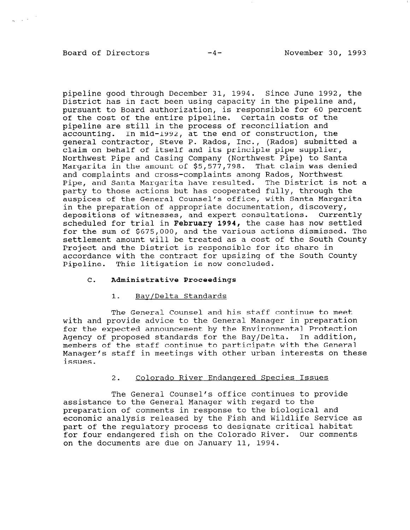### Board of Directors -4- November 30, 1993

 $\label{eq:11} \frac{1}{\left|\mathbf{v}_1\right|} = \left|\mathbf{u}_1\right|^{-\frac{1}{2}} \left|\mathbf{v}_1\right|^{-\frac{1}{2}}.$ 

pipeline good through December 31, 1994. Since June 1992, the District has in fact been using capacity in the pipeline and, pursuant to Board authorization, is responsible for 60 percent of the cost of the entire pipeline. Certain costs of the pipeline are still in the process of reconciliation and accounting. In mid-1992, at the end of construction, the general contractor, Steve P. Rados, Inc., (Rados) submitted a claim on behalf of itself and its principle pipe supplier, Northwest Pipe and Casing Company (Northwest Pipe) to Santa Margarita in the amount of  $$5,577.798$ . That claim was denie and complaints and cross-complaints among Rados, Northwest Pipe, and Santa Margarita have resulted. The District is not a party to those actions but has cooperated fully, through the auspices of the General Counsel's office, with Santa Margarita in the preparation of appropriate documentation, discovery, depositions of witnesses, and expert consultations. Currently scheduled for trial in February 1994, the case has now settled for the sum of \$675,000, and the various actions dismissed. The settlement amount will be treated as a cost of the South County Project and the District is responsible for its share in accordance with the contract for upsizing of the South County Pipeline. This litigation is now concluded.

### C. Administrative Proceedings

#### 1. Bay/Delta Standards

The General Counsel and his staff continue to meet with and provide advice to the General Manager in preparation for the expected announcement by the Environmental Protection Agency of proposed standards for the Bay/Delta. In addition, members of the staff continue to participate with the General Manager's staff in meetings with other urban interests on these issues.

### 2. Colorado River Endanqered Species Issues

The General Counsel's office continues to provide assistance to the General Manager with regard to the preparation of comments in response to the biological and economic analysis released by the Fish and Wildlife Service as promine analysis released by the rish and wildlife better part of the regulatory process to designate critical hapital for four endangered fish on the Colorado River. Our comments on the documents are due on January 11, 1994.